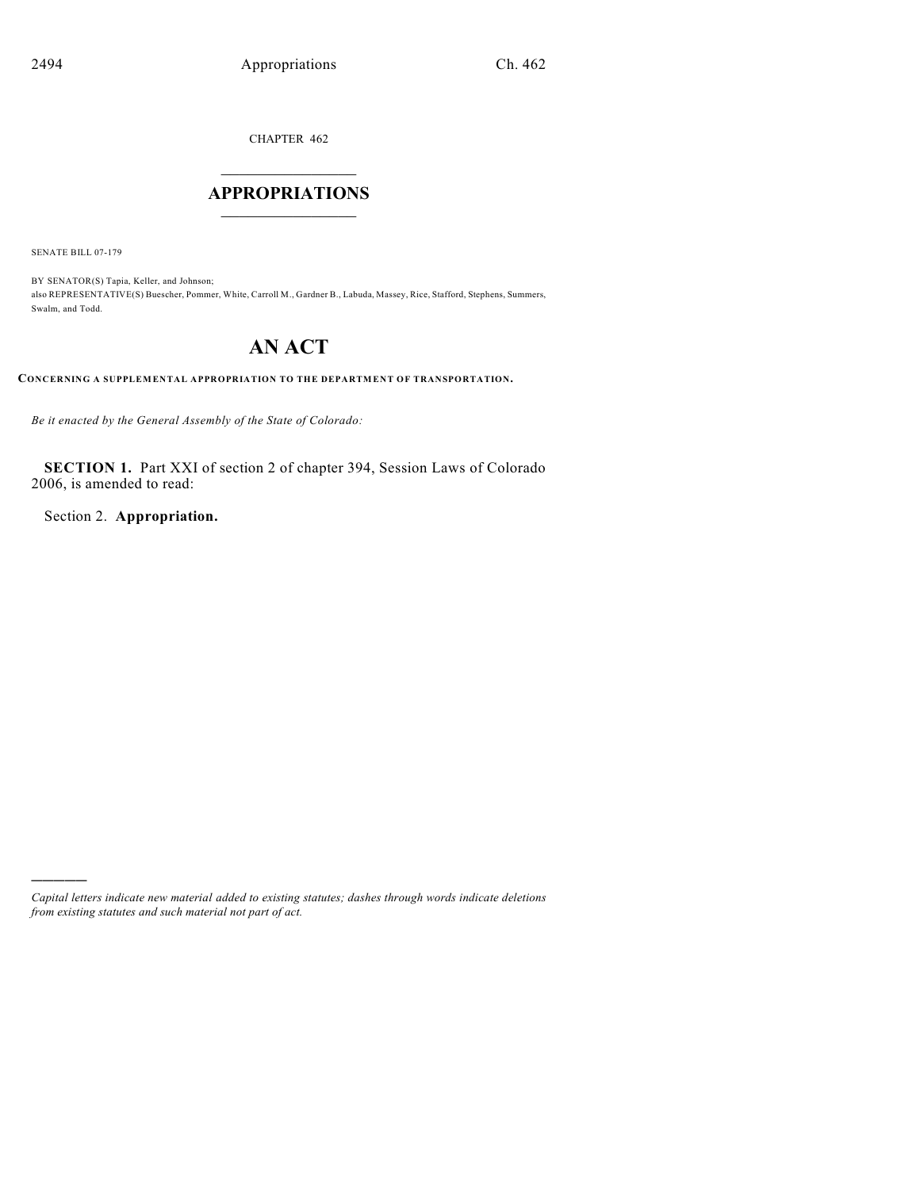CHAPTER 462

## $\overline{\phantom{a}}$  . The set of the set of the set of the set of the set of the set of the set of the set of the set of the set of the set of the set of the set of the set of the set of the set of the set of the set of the set o **APPROPRIATIONS**  $\_$   $\_$   $\_$   $\_$   $\_$   $\_$   $\_$   $\_$

SENATE BILL 07-179

)))))

BY SENATOR(S) Tapia, Keller, and Johnson; also REPRESENTATIVE(S) Buescher, Pommer, White, Carroll M., Gardner B., Labuda, Massey, Rice, Stafford, Stephens, Summers, Swalm, and Todd.

## **AN ACT**

**CONCERNING A SUPPLEMENTAL APPROPRIATION TO THE DEPARTMENT OF TRANSPORTATION.**

*Be it enacted by the General Assembly of the State of Colorado:*

**SECTION 1.** Part XXI of section 2 of chapter 394, Session Laws of Colorado 2006, is amended to read:

Section 2. **Appropriation.**

*Capital letters indicate new material added to existing statutes; dashes through words indicate deletions from existing statutes and such material not part of act.*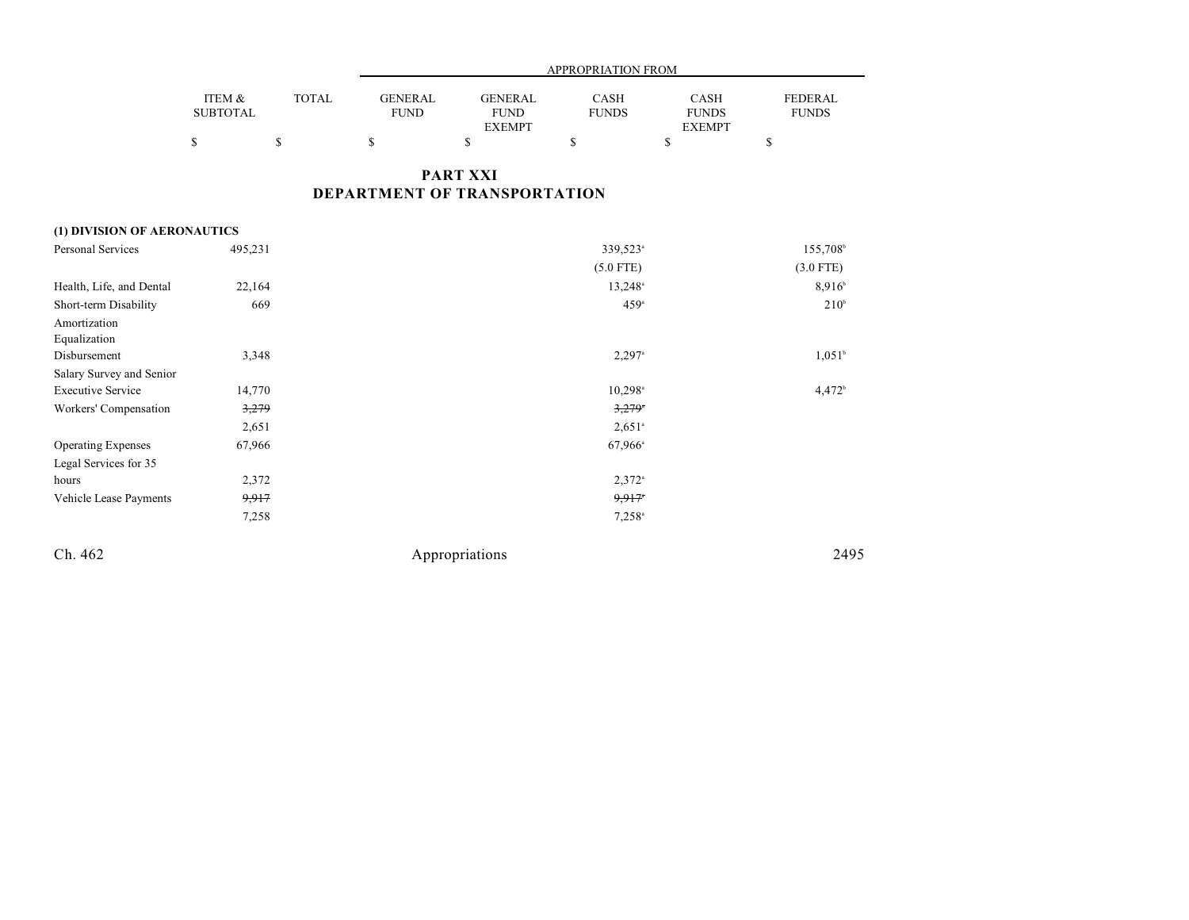|                                                 |                           |              | APPROPRIATION FROM            |                                                |                             |                                       |                                |
|-------------------------------------------------|---------------------------|--------------|-------------------------------|------------------------------------------------|-----------------------------|---------------------------------------|--------------------------------|
|                                                 | ITEM &<br><b>SUBTOTAL</b> | <b>TOTAL</b> | <b>GENERAL</b><br><b>FUND</b> | <b>GENERAL</b><br><b>FUND</b><br><b>EXEMPT</b> | <b>CASH</b><br><b>FUNDS</b> | CASH<br><b>FUNDS</b><br><b>EXEMPT</b> | <b>FEDERAL</b><br><b>FUNDS</b> |
|                                                 | \$                        | $\mathbb{S}$ | \$                            | \$                                             | \$                          | \$                                    | \$                             |
| <b>PART XXI</b><br>DEPARTMENT OF TRANSPORTATION |                           |              |                               |                                                |                             |                                       |                                |
| (1) DIVISION OF AERONAUTICS                     |                           |              |                               |                                                |                             |                                       |                                |
| <b>Personal Services</b>                        | 495,231                   |              |                               |                                                | 339,523 <sup>a</sup>        |                                       | 155,708 <sup>b</sup>           |
|                                                 |                           |              |                               |                                                | $(5.0$ FTE)                 |                                       | $(3.0$ FTE)                    |
| Health, Life, and Dental                        | 22,164                    |              |                               |                                                | $13,248$ <sup>a</sup>       |                                       | $8,916^{\circ}$                |
| Short-term Disability                           | 669                       |              |                               |                                                | 459 <sup>a</sup>            |                                       | 210 <sup>b</sup>               |
| Amortization<br>Equalization                    |                           |              |                               |                                                |                             |                                       |                                |
| Disbursement                                    | 3,348                     |              |                               |                                                | $2,297$ <sup>a</sup>        |                                       | $1,051^b$                      |
| Salary Survey and Senior                        |                           |              |                               |                                                |                             |                                       |                                |
| <b>Executive Service</b>                        | 14,770                    |              |                               |                                                | $10,298$ <sup>a</sup>       |                                       | 4,472 <sup>b</sup>             |
| Workers' Compensation                           | 3,279                     |              |                               |                                                | $3,279$ <sup>*</sup>        |                                       |                                |
|                                                 | 2,651                     |              |                               |                                                | $2,651$ <sup>a</sup>        |                                       |                                |
| <b>Operating Expenses</b>                       | 67,966                    |              |                               |                                                | $67,966^{\circ}$            |                                       |                                |
| Legal Services for 35                           |                           |              |                               |                                                |                             |                                       |                                |
| hours                                           | 2,372                     |              |                               |                                                | $2,372$ <sup>a</sup>        |                                       |                                |
| Vehicle Lease Payments                          | 9,917                     |              |                               |                                                | 9,917                       |                                       |                                |
|                                                 | 7,258                     |              |                               |                                                | $7,258^{\circ}$             |                                       |                                |

Ch. 462 Appropriations 2495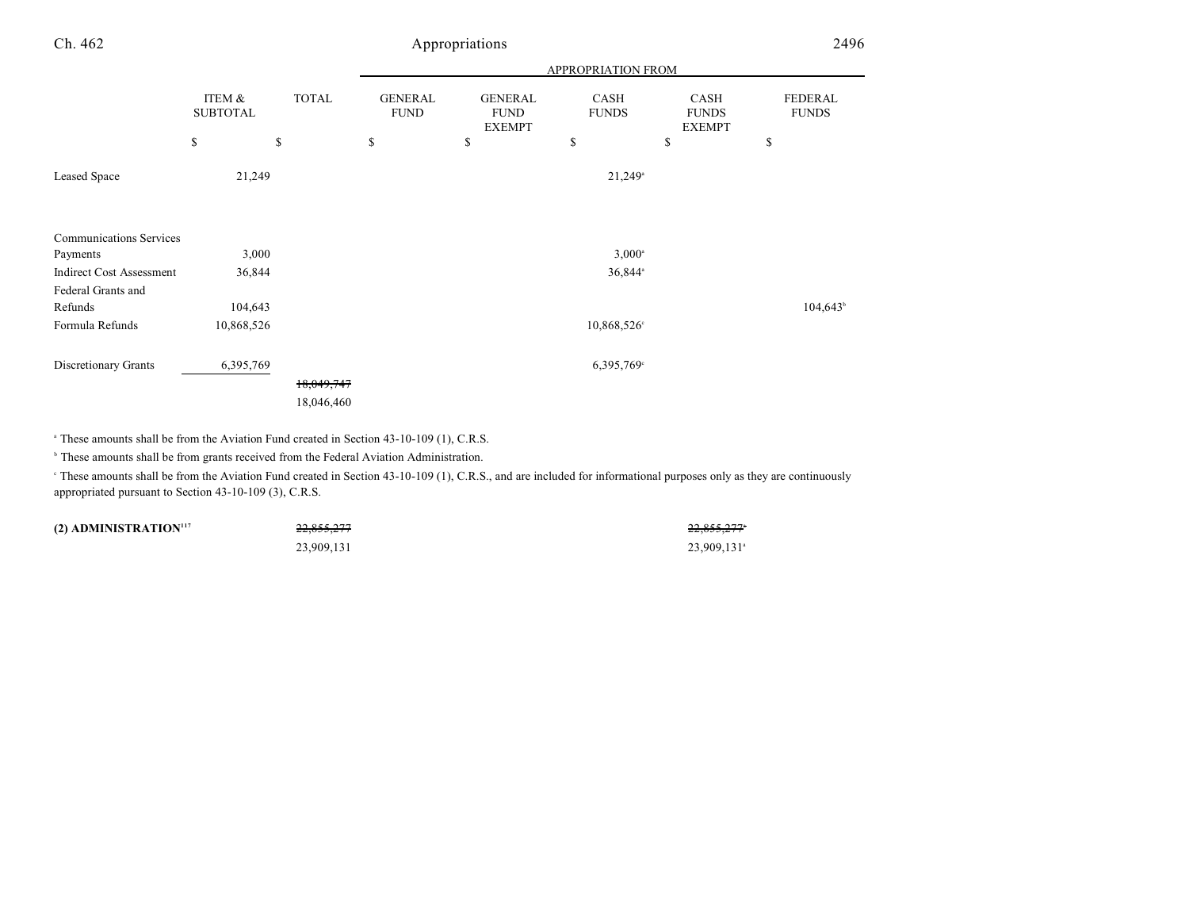| Ch. 462                         | Appropriations            |              |                               |                                                |                      | 2496                                  |                         |
|---------------------------------|---------------------------|--------------|-------------------------------|------------------------------------------------|----------------------|---------------------------------------|-------------------------|
|                                 |                           |              | APPROPRIATION FROM            |                                                |                      |                                       |                         |
|                                 | ITEM &<br><b>SUBTOTAL</b> | <b>TOTAL</b> | <b>GENERAL</b><br><b>FUND</b> | <b>GENERAL</b><br><b>FUND</b><br><b>EXEMPT</b> | CASH<br><b>FUNDS</b> | CASH<br><b>FUNDS</b><br><b>EXEMPT</b> | FEDERAL<br><b>FUNDS</b> |
|                                 | \$                        | \$           | \$                            | \$                                             | \$                   | \$                                    | \$                      |
| Leased Space                    | 21,249                    |              |                               |                                                | $21,249^{\circ}$     |                                       |                         |
| <b>Communications Services</b>  |                           |              |                               |                                                |                      |                                       |                         |
| Payments                        | 3,000                     |              |                               |                                                | $3,000^{\circ}$      |                                       |                         |
| <b>Indirect Cost Assessment</b> | 36,844                    |              |                               |                                                | 36,844 <sup>a</sup>  |                                       |                         |
| Federal Grants and              |                           |              |                               |                                                |                      |                                       |                         |
| Refunds                         | 104,643                   |              |                               |                                                |                      |                                       | $104,643^{\circ}$       |
| Formula Refunds                 | 10,868,526                |              |                               |                                                | 10,868,526°          |                                       |                         |
| Discretionary Grants            | 6,395,769                 |              |                               |                                                | 6,395,769°           |                                       |                         |
|                                 |                           | 18,049,747   |                               |                                                |                      |                                       |                         |
|                                 |                           | 18,046,460   |                               |                                                |                      |                                       |                         |

<sup>a</sup> These amounts shall be from the Aviation Fund created in Section 43-10-109 (1), C.R.S.

 $\degree$  These amounts shall be from grants received from the Federal Aviation Administration.

 These amounts shall be from the Aviation Fund created in Section 43-10-109 (1), C.R.S., and are included for informational purposes only as they are continuously <sup>c</sup> appropriated pursuant to Section 43-10-109 (3), C.R.S.

| (2) ADMINISTRATION <sup>117</sup> | 22.05527<br>22,000,211 | 22.0552777<br>22,000,211 |
|-----------------------------------|------------------------|--------------------------|
|                                   | 23,909,131             | 23.909.131 <sup>a</sup>  |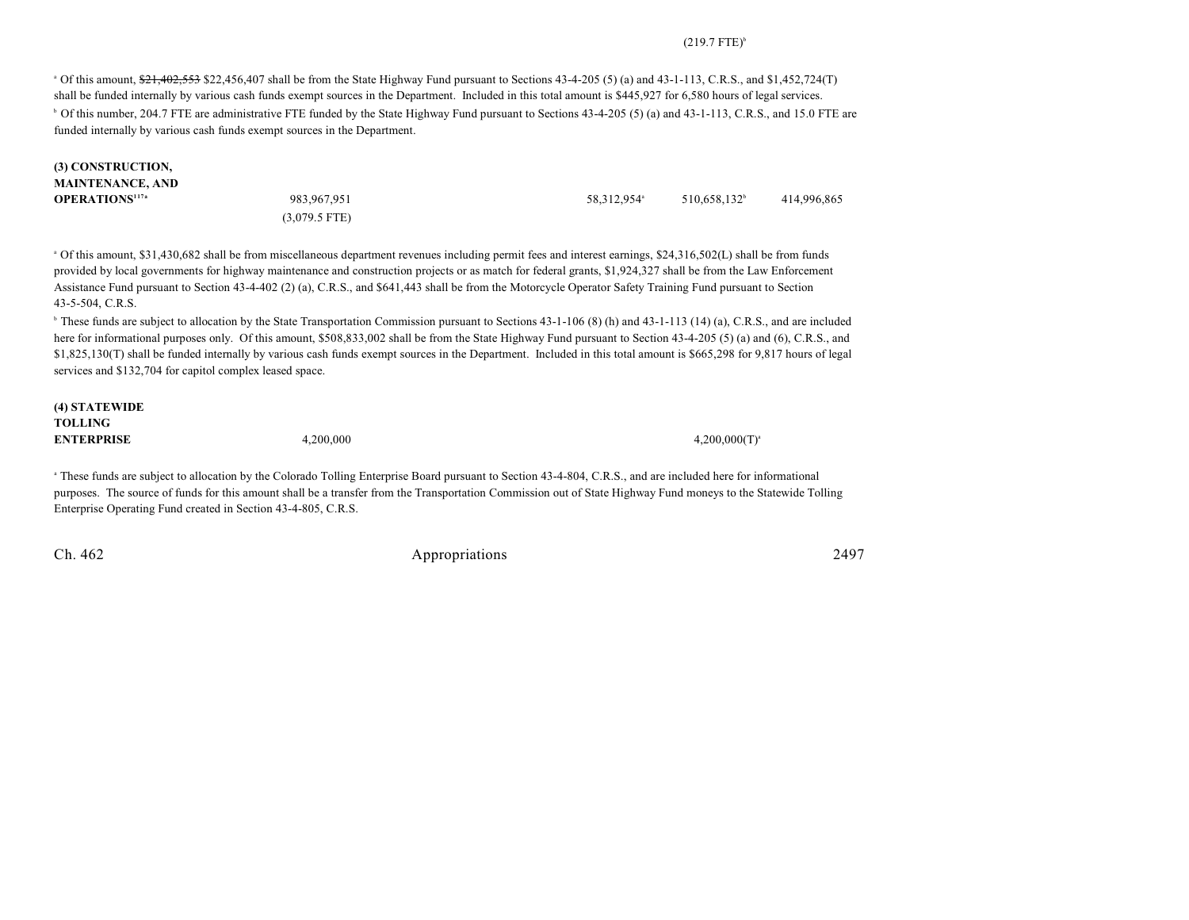## $(219.7$  FTE)<sup>b</sup>

 $\degree$  Of this amount,  $\frac{621}{202553}$  \$22,456,407 shall be from the State Highway Fund pursuant to Sections 43-4-205 (5) (a) and 43-1-113, C.R.S., and \$1,452,724(T) shall be funded internally by various cash funds exempt sources in the Department. Included in this total amount is \$445,927 for 6,580 hours of legal services.

<sup>b</sup> Of this number, 204.7 FTE are administrative FTE funded by the State Highway Fund pursuant to Sections 43-4-205 (5) (a) and 43-1-113, C.R.S., and 15.0 FTE are funded internally by various cash funds exempt sources in the Department.

| <b>(3) CONSTRUCTION,</b> |                 |                         |                          |             |
|--------------------------|-----------------|-------------------------|--------------------------|-------------|
| MAINTENANCE, AND         |                 |                         |                          |             |
| <b>OPERATIONS'17ª</b>    | 983, 967, 951   | 58,312,954 <sup>a</sup> | 510.658.132 <sup>b</sup> | 414.996.865 |
|                          | $(3,079.5$ FTE) |                         |                          |             |

 Of this amount, \$31,430,682 shall be from miscellaneous department revenues including permit fees and interest earnings, \$24,316,502(L) shall be from funds <sup>a</sup> provided by local governments for highway maintenance and construction projects or as match for federal grants, \$1,924,327 shall be from the Law Enforcement Assistance Fund pursuant to Section 43-4-402 (2) (a), C.R.S., and \$641,443 shall be from the Motorcycle Operator Safety Training Fund pursuant to Section 43-5-504, C.R.S.

<sup>b</sup> These funds are subject to allocation by the State Transportation Commission pursuant to Sections 43-1-106 (8) (h) and 43-1-113 (14) (a), C.R.S., and are included here for informational purposes only. Of this amount, \$508,833,002 shall be from the State Highway Fund pursuant to Section 43-4-205 (5) (a) and (6), C.R.S., and \$1,825,130(T) shall be funded internally by various cash funds exempt sources in the Department. Included in this total amount is \$665,298 for 9,817 hours of legal services and \$132,704 for capitol complex leased space.

| (4) STATEWIDE     |           |                    |
|-------------------|-----------|--------------------|
| TOLLING           |           |                    |
| <b>ENTERPRISE</b> | 4,200,000 | $4,200,000(T)^{4}$ |
|                   |           |                    |

<sup>a</sup> These funds are subject to allocation by the Colorado Tolling Enterprise Board pursuant to Section 43-4-804, C.R.S., and are included here for informational purposes. The source of funds for this amount shall be a transfer from the Transportation Commission out of State Highway Fund moneys to the Statewide Tolling Enterprise Operating Fund created in Section 43-4-805, C.R.S.

Ch. 462 Appropriations 2497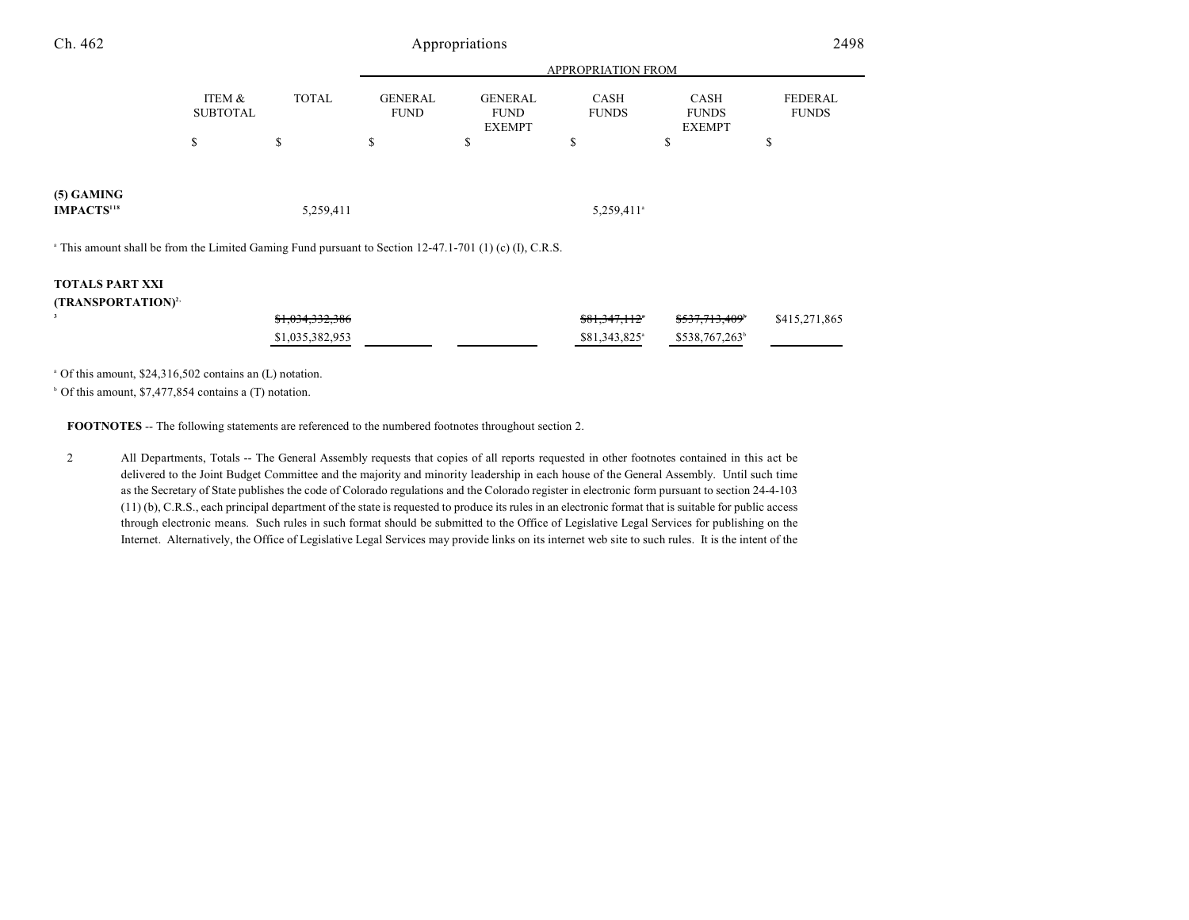| Ch. 462                                                                                                            | Appropriations            |                            |                                     |                                                      |                            |                                             | 2498                                 |  |
|--------------------------------------------------------------------------------------------------------------------|---------------------------|----------------------------|-------------------------------------|------------------------------------------------------|----------------------------|---------------------------------------------|--------------------------------------|--|
|                                                                                                                    | APPROPRIATION FROM        |                            |                                     |                                                      |                            |                                             |                                      |  |
|                                                                                                                    | ITEM &<br><b>SUBTOTAL</b> | <b>TOTAL</b><br>\$         | <b>GENERAL</b><br><b>FUND</b><br>\$ | <b>GENERAL</b><br><b>FUND</b><br><b>EXEMPT</b><br>\$ | CASH<br><b>FUNDS</b><br>\$ | CASH<br><b>FUNDS</b><br><b>EXEMPT</b><br>\$ | <b>FEDERAL</b><br><b>FUNDS</b><br>\$ |  |
|                                                                                                                    | \$                        |                            |                                     |                                                      |                            |                                             |                                      |  |
| $(5)$ GAMING<br><b>IMPACTS</b> <sup>118</sup>                                                                      |                           | 5,259,411                  |                                     |                                                      | 5,259,411 <sup>a</sup>     |                                             |                                      |  |
| <sup>a</sup> This amount shall be from the Limited Gaming Fund pursuant to Section 12-47.1-701 (1) (c) (I), C.R.S. |                           |                            |                                     |                                                      |                            |                                             |                                      |  |
| <b>TOTALS PART XXI</b>                                                                                             |                           |                            |                                     |                                                      |                            |                                             |                                      |  |
| (TRANSPORTATION) <sup>2,</sup>                                                                                     |                           |                            |                                     |                                                      |                            |                                             |                                      |  |
| 3                                                                                                                  |                           | <del>\$1,034,332,386</del> |                                     |                                                      | \$81,347,112*              | \$537,713,409 <sup>*</sup>                  | \$415,271,865                        |  |
|                                                                                                                    |                           | \$1,035,382,953            |                                     |                                                      | \$81,343,825 <sup>a</sup>  | \$538,767,263 <sup>b</sup>                  |                                      |  |
|                                                                                                                    |                           |                            |                                     |                                                      |                            |                                             |                                      |  |

 $^{\circ}$  Of this amount, \$24,316,502 contains an (L) notation.

 $6$  Of this amount, \$7,477,854 contains a (T) notation.

**FOOTNOTES** -- The following statements are referenced to the numbered footnotes throughout section 2.

2 All Departments, Totals -- The General Assembly requests that copies of all reports requested in other footnotes contained in this act be delivered to the Joint Budget Committee and the majority and minority leadership in each house of the General Assembly. Until such time as the Secretary of State publishes the code of Colorado regulations and the Colorado register in electronic form pursuant to section 24-4-103 (11) (b), C.R.S., each principal department of the state is requested to produce its rules in an electronic format that is suitable for public access through electronic means. Such rules in such format should be submitted to the Office of Legislative Legal Services for publishing on the Internet. Alternatively, the Office of Legislative Legal Services may provide links on its internet web site to such rules. It is the intent of the